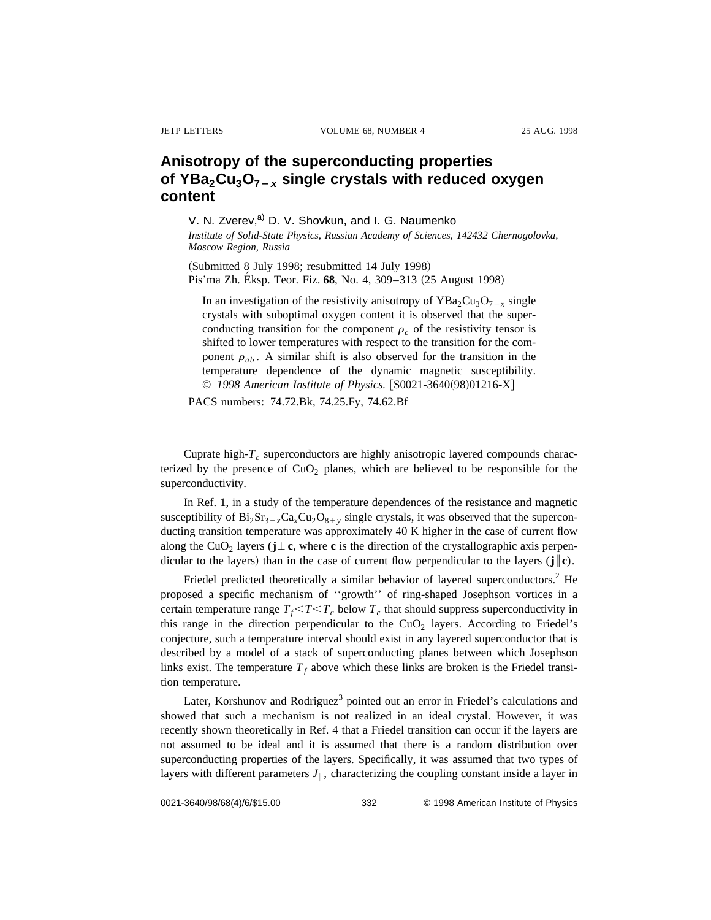## **Anisotropy of the superconducting properties of YBa2Cu3O7**<sup>2</sup>**<sup>x</sup> single crystals with reduced oxygen content**

V. N. Zverev,<sup>a)</sup> D. V. Shovkun, and I. G. Naumenko *Institute of Solid-State Physics, Russian Academy of Sciences, 142432 Chernogolovka, Moscow Region, Russia*

(Submitted 8 July 1998; resubmitted 14 July 1998) Pis'ma Zh. Eksp. Teor. Fiz. 68, No. 4, 309–313 (25 August 1998)

In an investigation of the resistivity anisotropy of  $YBa<sub>2</sub>Cu<sub>3</sub>O<sub>7-x</sub>$  single crystals with suboptimal oxygen content it is observed that the superconducting transition for the component  $\rho_c$  of the resistivity tensor is shifted to lower temperatures with respect to the transition for the component  $\rho_{ab}$ . A similar shift is also observed for the transition in the temperature dependence of the dynamic magnetic susceptibility. © 1998 American Institute of Physics. [S0021-3640(98)01216-X]

PACS numbers: 74.72.Bk, 74.25.Fy, 74.62.Bf

Cuprate high- $T_c$  superconductors are highly anisotropic layered compounds characterized by the presence of  $CuO<sub>2</sub>$  planes, which are believed to be responsible for the superconductivity.

In Ref. 1, in a study of the temperature dependences of the resistance and magnetic susceptibility of  $Bi_2Sr_3-xCa_xCu_2O_{8+y}$  single crystals, it was observed that the superconducting transition temperature was approximately 40 K higher in the case of current flow along the CuO<sub>2</sub> layers ( $\mathbf{j} \perp \mathbf{c}$ , where **c** is the direction of the crystallographic axis perpendicular to the layers) than in the case of current flow perpendicular to the layers ( $\mathbf{j} \|\mathbf{c}$ ).

Friedel predicted theoretically a similar behavior of layered superconductors.<sup>2</sup> He proposed a specific mechanism of ''growth'' of ring-shaped Josephson vortices in a certain temperature range  $T_f < T < T_c$  below  $T_c$  that should suppress superconductivity in this range in the direction perpendicular to the  $CuO<sub>2</sub>$  layers. According to Friedel's conjecture, such a temperature interval should exist in any layered superconductor that is described by a model of a stack of superconducting planes between which Josephson links exist. The temperature  $T_f$  above which these links are broken is the Friedel transition temperature.

Later, Korshunov and Rodriguez<sup>3</sup> pointed out an error in Friedel's calculations and showed that such a mechanism is not realized in an ideal crystal. However, it was recently shown theoretically in Ref. 4 that a Friedel transition can occur if the layers are not assumed to be ideal and it is assumed that there is a random distribution over superconducting properties of the layers. Specifically, it was assumed that two types of layers with different parameters  $J_{\parallel}$ , characterizing the coupling constant inside a layer in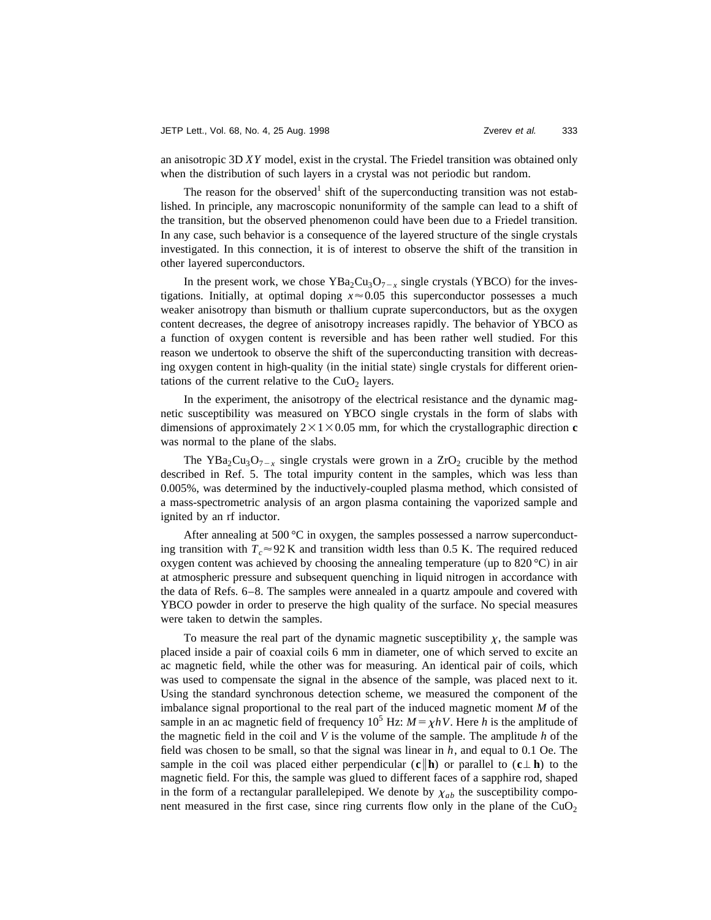an anisotropic 3D *XY* model, exist in the crystal. The Friedel transition was obtained only when the distribution of such layers in a crystal was not periodic but random.

The reason for the observed<sup>1</sup> shift of the superconducting transition was not established. In principle, any macroscopic nonuniformity of the sample can lead to a shift of the transition, but the observed phenomenon could have been due to a Friedel transition. In any case, such behavior is a consequence of the layered structure of the single crystals investigated. In this connection, it is of interest to observe the shift of the transition in other layered superconductors.

In the present work, we chose  $YBa<sub>2</sub>Cu<sub>3</sub>O<sub>7-x</sub>$  single crystals (YBCO) for the investigations. Initially, at optimal doping  $x \approx 0.05$  this superconductor possesses a much weaker anisotropy than bismuth or thallium cuprate superconductors, but as the oxygen content decreases, the degree of anisotropy increases rapidly. The behavior of YBCO as a function of oxygen content is reversible and has been rather well studied. For this reason we undertook to observe the shift of the superconducting transition with decreasing oxygen content in high-quality (in the initial state) single crystals for different orientations of the current relative to the  $CuO<sub>2</sub>$  layers.

In the experiment, the anisotropy of the electrical resistance and the dynamic magnetic susceptibility was measured on YBCO single crystals in the form of slabs with dimensions of approximately  $2 \times 1 \times 0.05$  mm, for which the crystallographic direction **c** was normal to the plane of the slabs.

The YBa<sub>2</sub>Cu<sub>3</sub>O<sub>7-x</sub> single crystals were grown in a ZrO<sub>2</sub> crucible by the method described in Ref. 5. The total impurity content in the samples, which was less than 0.005%, was determined by the inductively-coupled plasma method, which consisted of a mass-spectrometric analysis of an argon plasma containing the vaporized sample and ignited by an rf inductor.

After annealing at 500  $^{\circ}$ C in oxygen, the samples possessed a narrow superconducting transition with  $T_c \approx 92 \text{ K}$  and transition width less than 0.5 K. The required reduced oxygen content was achieved by choosing the annealing temperature (up to  $820 \degree C$ ) in air at atmospheric pressure and subsequent quenching in liquid nitrogen in accordance with the data of Refs. 6–8. The samples were annealed in a quartz ampoule and covered with YBCO powder in order to preserve the high quality of the surface. No special measures were taken to detwin the samples.

To measure the real part of the dynamic magnetic susceptibility  $\chi$ , the sample was placed inside a pair of coaxial coils 6 mm in diameter, one of which served to excite an ac magnetic field, while the other was for measuring. An identical pair of coils, which was used to compensate the signal in the absence of the sample, was placed next to it. Using the standard synchronous detection scheme, we measured the component of the imbalance signal proportional to the real part of the induced magnetic moment *M* of the sample in an ac magnetic field of frequency  $10^5$  Hz:  $M = \chi hV$ . Here *h* is the amplitude of the magnetic field in the coil and *V* is the volume of the sample. The amplitude *h* of the field was chosen to be small, so that the signal was linear in *h*, and equal to 0.1 Oe. The sample in the coil was placed either perpendicular  $(c \mid h)$  or parallel to  $(c \perp h)$  to the magnetic field. For this, the sample was glued to different faces of a sapphire rod, shaped in the form of a rectangular parallelepiped. We denote by  $\chi_{ab}$  the susceptibility component measured in the first case, since ring currents flow only in the plane of the  $CuO<sub>2</sub>$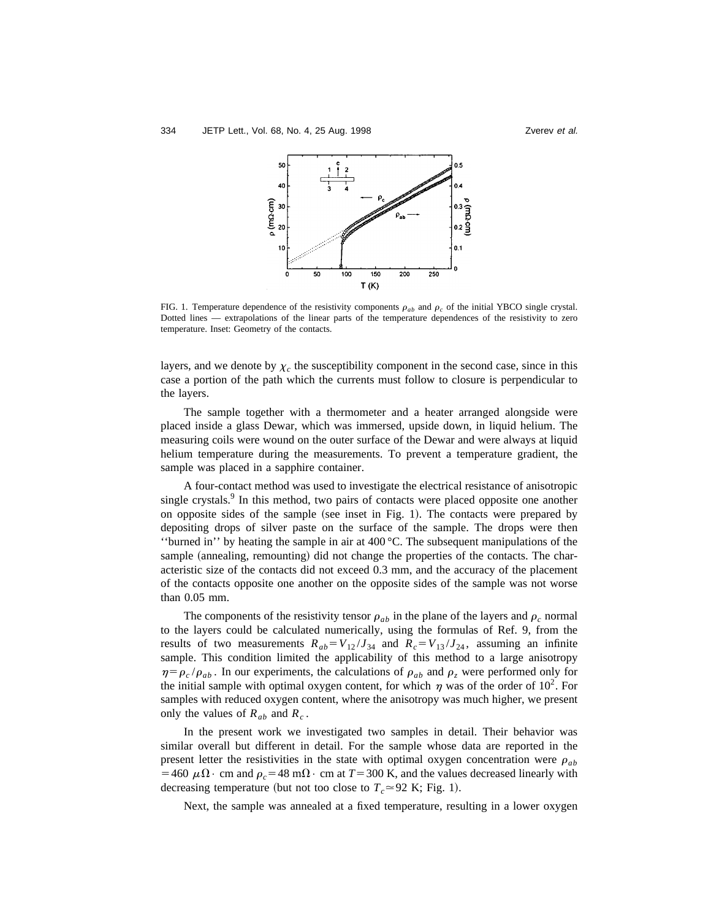



FIG. 1. Temperature dependence of the resistivity components  $\rho_{ab}$  and  $\rho_c$  of the initial YBCO single crystal. Dotted lines — extrapolations of the linear parts of the temperature dependences of the resistivity to zero temperature. Inset: Geometry of the contacts.

layers, and we denote by  $\chi_c$  the susceptibility component in the second case, since in this case a portion of the path which the currents must follow to closure is perpendicular to the layers.

The sample together with a thermometer and a heater arranged alongside were placed inside a glass Dewar, which was immersed, upside down, in liquid helium. The measuring coils were wound on the outer surface of the Dewar and were always at liquid helium temperature during the measurements. To prevent a temperature gradient, the sample was placed in a sapphire container.

A four-contact method was used to investigate the electrical resistance of anisotropic single crystals.<sup>9</sup> In this method, two pairs of contacts were placed opposite one another on opposite sides of the sample (see inset in Fig. 1). The contacts were prepared by depositing drops of silver paste on the surface of the sample. The drops were then ''burned in'' by heating the sample in air at 400 °C. The subsequent manipulations of the sample (annealing, remounting) did not change the properties of the contacts. The characteristic size of the contacts did not exceed 0.3 mm, and the accuracy of the placement of the contacts opposite one another on the opposite sides of the sample was not worse than 0.05 mm.

The components of the resistivity tensor  $\rho_{ab}$  in the plane of the layers and  $\rho_c$  normal to the layers could be calculated numerically, using the formulas of Ref. 9, from the results of two measurements  $R_{ab} = V_{12}/J_{34}$  and  $R_c = V_{13}/J_{24}$ , assuming an infinite sample. This condition limited the applicability of this method to a large anisotropy  $\eta = \rho_c / \rho_{ab}$ . In our experiments, the calculations of  $\rho_{ab}$  and  $\rho_z$  were performed only for the initial sample with optimal oxygen content, for which  $\eta$  was of the order of 10<sup>2</sup>. For samples with reduced oxygen content, where the anisotropy was much higher, we present only the values of  $R_{ab}$  and  $R_c$ .

In the present work we investigated two samples in detail. Their behavior was similar overall but different in detail. For the sample whose data are reported in the present letter the resistivities in the state with optimal oxygen concentration were  $\rho_{ab}$ =460  $\mu\Omega$ • cm and  $\rho_c$  =48 m $\Omega$ • cm at *T* = 300 K, and the values decreased linearly with decreasing temperature (but not too close to  $T_c \approx 92$  K; Fig. 1).

Next, the sample was annealed at a fixed temperature, resulting in a lower oxygen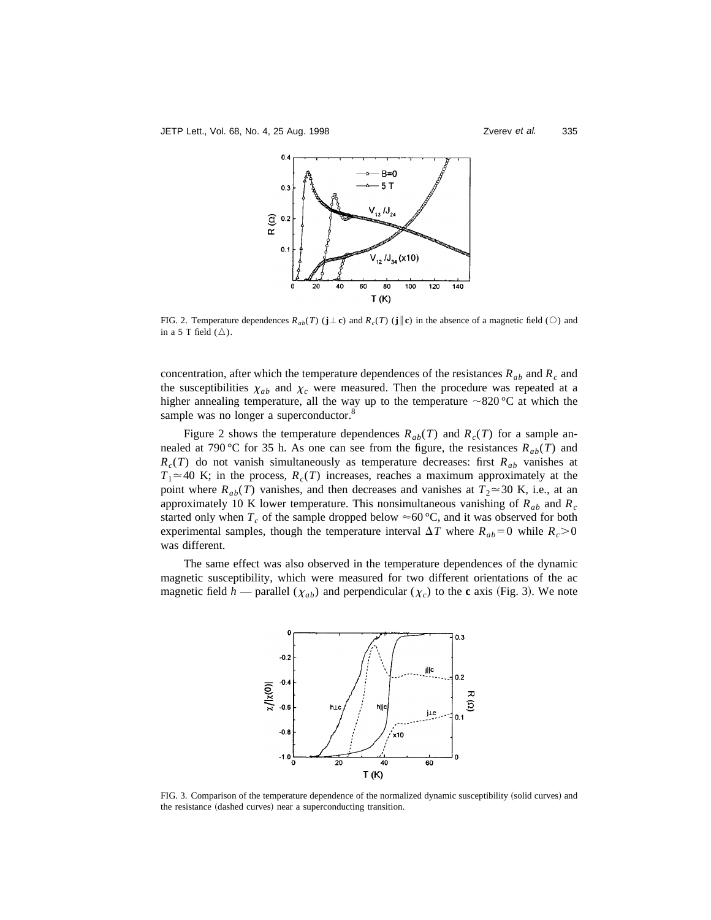

FIG. 2. Temperature dependences  $R_{ab}(T)$  ( $\mathbf{j} \perp \mathbf{c}$ ) and  $R_c(T)$  ( $\mathbf{j} \parallel \mathbf{c}$ ) in the absence of a magnetic field ( $\heartsuit$ ) and in a 5 T field  $(\triangle)$ .

concentration, after which the temperature dependences of the resistances  $R_{ab}$  and  $R_c$  and the susceptibilities  $\chi_{ab}$  and  $\chi_c$  were measured. Then the procedure was repeated at a higher annealing temperature, all the way up to the temperature  $\sim$ 820 °C at which the sample was no longer a superconductor.<sup>8</sup>

Figure 2 shows the temperature dependences  $R_{ab}(T)$  and  $R_c(T)$  for a sample annealed at 790 °C for 35 h. As one can see from the figure, the resistances  $R_{ab}(T)$  and  $R_c(T)$  do not vanish simultaneously as temperature decreases: first  $R_{ab}$  vanishes at  $T_1 \approx 40$  K; in the process,  $R_c(T)$  increases, reaches a maximum approximately at the point where  $R_{ab}(T)$  vanishes, and then decreases and vanishes at  $T_2 \approx 30$  K, i.e., at an approximately 10 K lower temperature. This nonsimultaneous vanishing of *Rab* and *Rc* started only when  $T_c$  of the sample dropped below  $\approx 60 \degree C$ , and it was observed for both experimental samples, though the temperature interval  $\Delta T$  where  $R_{ab} = 0$  while  $R_c > 0$ was different.

The same effect was also observed in the temperature dependences of the dynamic magnetic susceptibility, which were measured for two different orientations of the ac magnetic field *h* — parallel ( $\chi_{ab}$ ) and perpendicular ( $\chi_c$ ) to the **c** axis (Fig. 3). We note



FIG. 3. Comparison of the temperature dependence of the normalized dynamic susceptibility (solid curves) and the resistance (dashed curves) near a superconducting transition.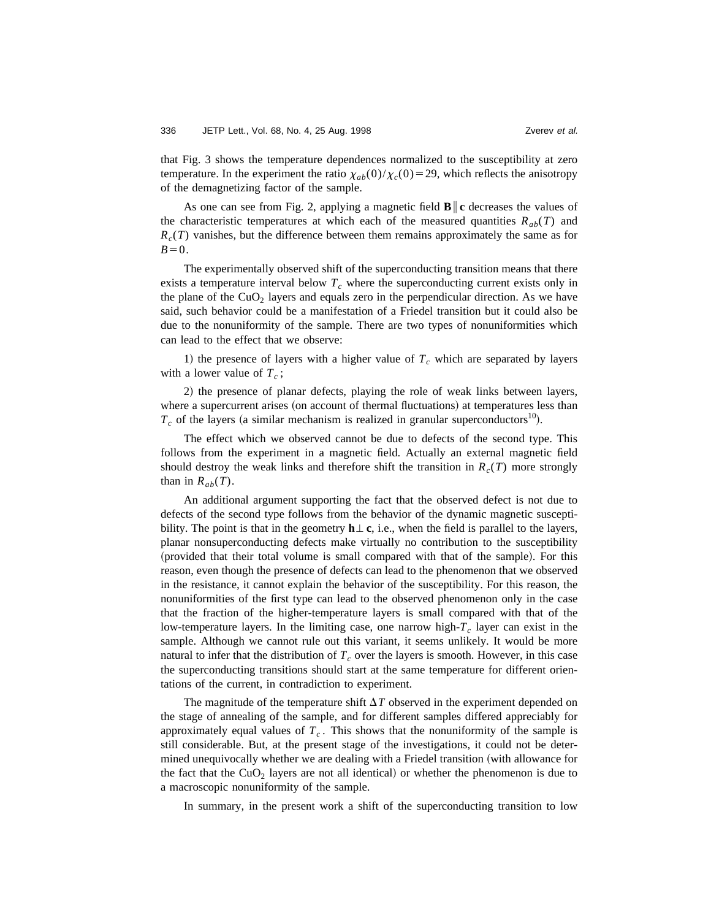that Fig. 3 shows the temperature dependences normalized to the susceptibility at zero temperature. In the experiment the ratio  $\chi_{ab}(0)/\chi_c(0)=29$ , which reflects the anisotropy of the demagnetizing factor of the sample.

As one can see from Fig. 2, applying a magnetic field  $\mathbf{B}$  **c** decreases the values of the characteristic temperatures at which each of the measured quantities  $R_{ab}(T)$  and  $R<sub>c</sub>(T)$  vanishes, but the difference between them remains approximately the same as for  $B=0$ .

The experimentally observed shift of the superconducting transition means that there exists a temperature interval below  $T_c$  where the superconducting current exists only in the plane of the  $CuO<sub>2</sub>$  layers and equals zero in the perpendicular direction. As we have said, such behavior could be a manifestation of a Friedel transition but it could also be due to the nonuniformity of the sample. There are two types of nonuniformities which can lead to the effect that we observe:

1) the presence of layers with a higher value of  $T_c$  which are separated by layers with a lower value of  $T_c$ ;

2) the presence of planar defects, playing the role of weak links between layers, where a supercurrent arises (on account of thermal fluctuations) at temperatures less than  $T_c$  of the layers (a similar mechanism is realized in granular superconductors<sup>10</sup>).

The effect which we observed cannot be due to defects of the second type. This follows from the experiment in a magnetic field. Actually an external magnetic field should destroy the weak links and therefore shift the transition in  $R_c(T)$  more strongly than in  $R_{ab}(T)$ .

An additional argument supporting the fact that the observed defect is not due to defects of the second type follows from the behavior of the dynamic magnetic susceptibility. The point is that in the geometry  $h \perp c$ , i.e., when the field is parallel to the layers, planar nonsuperconducting defects make virtually no contribution to the susceptibility (provided that their total volume is small compared with that of the sample). For this reason, even though the presence of defects can lead to the phenomenon that we observed in the resistance, it cannot explain the behavior of the susceptibility. For this reason, the nonuniformities of the first type can lead to the observed phenomenon only in the case that the fraction of the higher-temperature layers is small compared with that of the low-temperature layers. In the limiting case, one narrow high- $T_c$  layer can exist in the sample. Although we cannot rule out this variant, it seems unlikely. It would be more natural to infer that the distribution of  $T_c$  over the layers is smooth. However, in this case the superconducting transitions should start at the same temperature for different orientations of the current, in contradiction to experiment.

The magnitude of the temperature shift  $\Delta T$  observed in the experiment depended on the stage of annealing of the sample, and for different samples differed appreciably for approximately equal values of  $T_c$ . This shows that the nonuniformity of the sample is still considerable. But, at the present stage of the investigations, it could not be determined unequivocally whether we are dealing with a Friedel transition (with allowance for the fact that the  $CuO<sub>2</sub>$  layers are not all identical) or whether the phenomenon is due to a macroscopic nonuniformity of the sample.

In summary, in the present work a shift of the superconducting transition to low